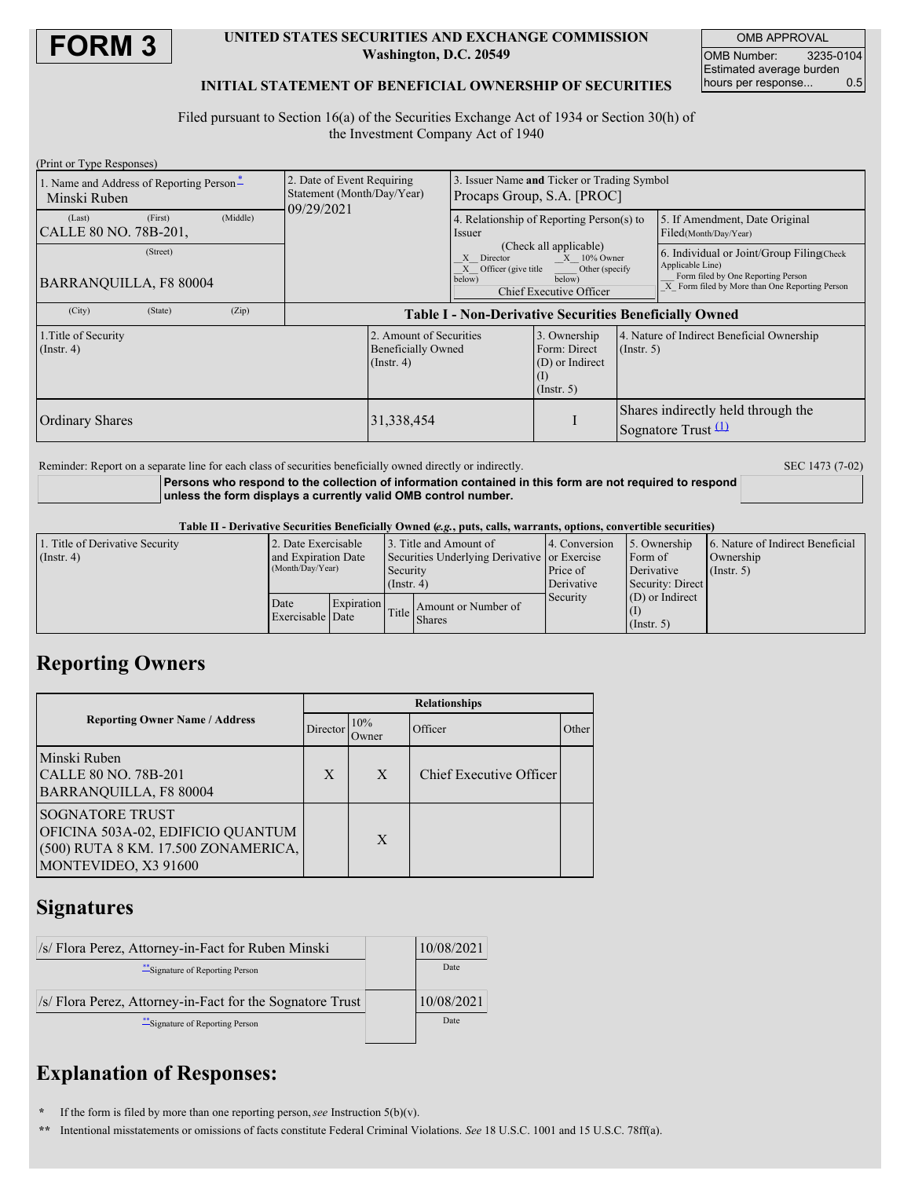

## **UNITED STATES SECURITIES AND EXCHANGE COMMISSION Washington, D.C. 20549**

OMB APPROVAL OMB Number: 3235-0104 Estimated average burden<br>hours per response... 0.5 hours per response...

## **INITIAL STATEMENT OF BENEFICIAL OWNERSHIP OF SECURITIES**

Filed pursuant to Section 16(a) of the Securities Exchange Act of 1934 or Section 30(h) of the Investment Company Act of 1940

| (Print or Type Responses)                                |          |          |                                                                        |                                                                          |                                                                           |                                                                                                   |                                                                |                                                                                                                                                       |  |
|----------------------------------------------------------|----------|----------|------------------------------------------------------------------------|--------------------------------------------------------------------------|---------------------------------------------------------------------------|---------------------------------------------------------------------------------------------------|----------------------------------------------------------------|-------------------------------------------------------------------------------------------------------------------------------------------------------|--|
| 1. Name and Address of Reporting Person*<br>Minski Ruben |          |          | 2. Date of Event Requiring<br>Statement (Month/Day/Year)<br>09/29/2021 |                                                                          | 3. Issuer Name and Ticker or Trading Symbol<br>Procaps Group, S.A. [PROC] |                                                                                                   |                                                                |                                                                                                                                                       |  |
| (Last)<br>CALLE 80 NO. 78B-201,                          | (First)  | (Middle) |                                                                        |                                                                          | 4. Relationship of Reporting Person(s) to<br>Issuer                       |                                                                                                   |                                                                | 5. If Amendment, Date Original<br>Filed(Month/Day/Year)                                                                                               |  |
| BARRANOUILLA, F8 80004                                   | (Street) |          |                                                                        |                                                                          | X Director<br>X Officer (give title<br>below)                             | (Check all applicable)<br>$X = 10\%$ Owner<br>Other (specify<br>below)<br>Chief Executive Officer |                                                                | 6. Individual or Joint/Group Filing Check<br>Applicable Line)<br>Form filed by One Reporting Person<br>X Form filed by More than One Reporting Person |  |
| (City)                                                   | (State)  | (Zip)    | <b>Table I - Non-Derivative Securities Beneficially Owned</b>          |                                                                          |                                                                           |                                                                                                   |                                                                |                                                                                                                                                       |  |
| 1. Title of Security<br>$($ Instr. 4 $)$                 |          |          |                                                                        | 2. Amount of Securities<br><b>Beneficially Owned</b><br>$($ Instr. 4 $)$ |                                                                           | 3. Ownership<br>Form: Direct<br>(D) or Indirect<br>(1)<br>$($ Instr. 5 $)$                        | 4. Nature of Indirect Beneficial Ownership<br>$($ Instr. 5 $)$ |                                                                                                                                                       |  |
| <b>Ordinary Shares</b>                                   |          |          |                                                                        | 31,338,454                                                               |                                                                           |                                                                                                   | Shares indirectly held through the<br>Sognatore Trust $(1)$    |                                                                                                                                                       |  |

Reminder: Report on a separate line for each class of securities beneficially owned directly or indirectly. SEC 1473 (7-02)

## **Persons who respond to the collection of information contained in this form are not required to respond unless the form displays a currently valid OMB control number.**

Table II - Derivative Securities Beneficially Owned (e.g., puts, calls, warrants, options, convertible securities)

| 1. Title of Derivative Security | 2. Date Exercisable |                   | 3. Title and Amount of                       |                                                           | 4. Conversion | 5. Ownership      | 6. Nature of Indirect Beneficial |
|---------------------------------|---------------------|-------------------|----------------------------------------------|-----------------------------------------------------------|---------------|-------------------|----------------------------------|
| $($ Instr. 4)                   | and Expiration Date |                   | Securities Underlying Derivative or Exercise |                                                           |               | Form of           | Ownership                        |
|                                 | (Month/Day/Year)    |                   | Security                                     |                                                           | Price of      | Derivative        | $($ Instr. 5 $)$                 |
|                                 |                     |                   | $($ Instr. 4)                                |                                                           | Derivative    | Security: Direct  |                                  |
|                                 | Date                | <b>Expiration</b> |                                              |                                                           | Security      | $(D)$ or Indirect |                                  |
|                                 | Exercisable Date    |                   |                                              | Amount or Number of<br>$\left \text{Title}\right $ Shares |               |                   |                                  |
|                                 |                     |                   |                                              |                                                           |               | $($ Instr. 5 $)$  |                                  |

# **Reporting Owners**

|                                                                                                                            |          | <b>Relationships</b> |                         |       |  |  |  |
|----------------------------------------------------------------------------------------------------------------------------|----------|----------------------|-------------------------|-------|--|--|--|
| <b>Reporting Owner Name / Address</b>                                                                                      | Director | 10%<br>Owner         | Officer                 | Other |  |  |  |
| Minski Ruben<br>CALLE 80 NO. 78B-201<br>BARRANQUILLA, F8 80004                                                             | X        | X                    | Chief Executive Officer |       |  |  |  |
| <b>SOGNATORE TRUST</b><br>OFICINA 503A-02, EDIFICIO QUANTUM<br>(500) RUTA 8 KM. 17.500 ZONAMERICA,<br>MONTEVIDEO, X3 91600 |          | X                    |                         |       |  |  |  |

# **Signatures**

| /s/ Flora Perez, Attorney-in-Fact for Ruben Minski        | 10/08/2021 |
|-----------------------------------------------------------|------------|
| ** Signature of Reporting Person                          | Date       |
| /s/ Flora Perez, Attorney-in-Fact for the Sognatore Trust | 10/08/2021 |
| ** Signature of Reporting Person                          | Date       |

# **Explanation of Responses:**

**\*** If the form is filed by more than one reporting person,*see* Instruction 5(b)(v).

**\*\*** Intentional misstatements or omissions of facts constitute Federal Criminal Violations. *See* 18 U.S.C. 1001 and 15 U.S.C. 78ff(a).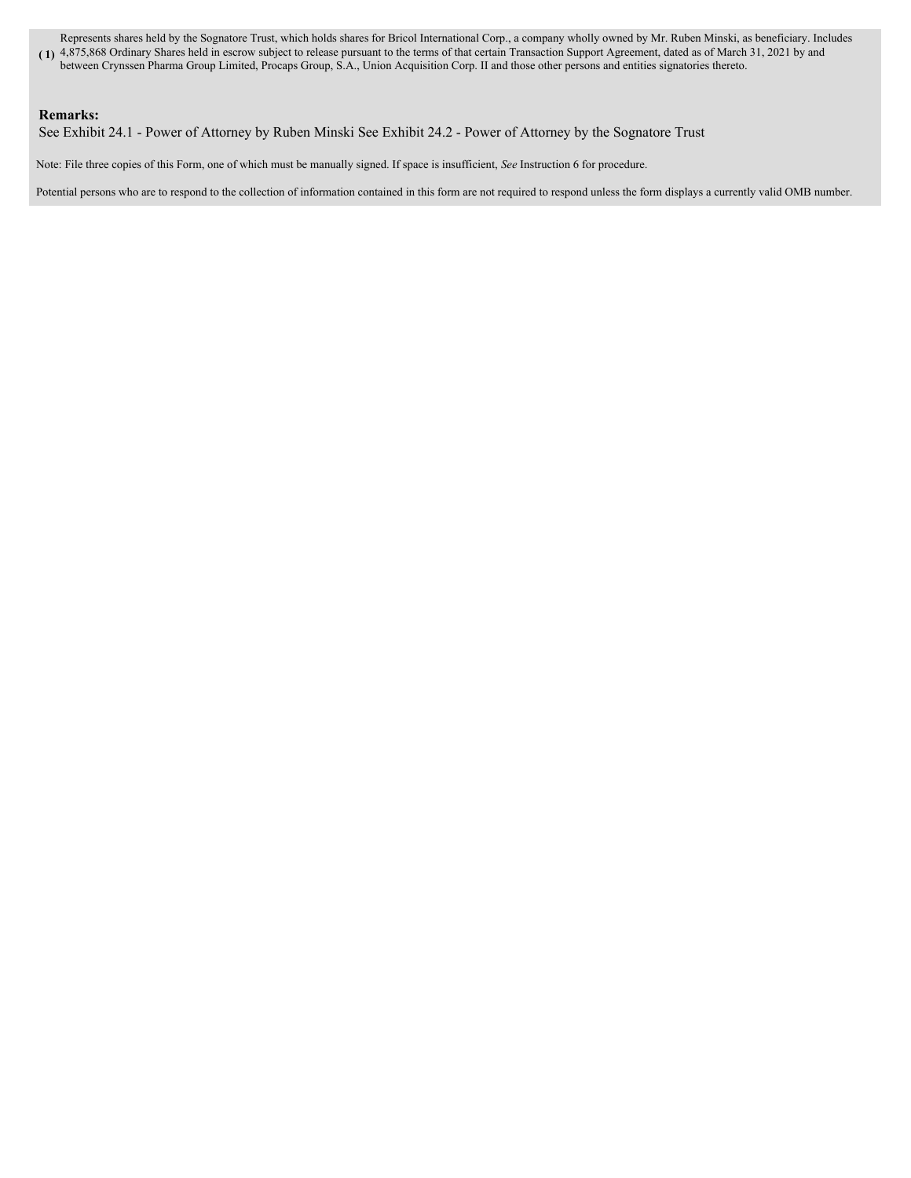**( 1)** 4,875,868 Ordinary Shares held in escrow subject to release pursuant to the terms of that certain Transaction Support Agreement, dated as of March 31, 2021 by and Represents shares held by the Sognatore Trust, which holds shares for Bricol International Corp., a company wholly owned by Mr. Ruben Minski, as beneficiary. Includes between Crynssen Pharma Group Limited, Procaps Group, S.A., Union Acquisition Corp. II and those other persons and entities signatories thereto.

## **Remarks:**

See Exhibit 24.1 - Power of Attorney by Ruben Minski See Exhibit 24.2 - Power of Attorney by the Sognatore Trust

Note: File three copies of this Form, one of which must be manually signed. If space is insufficient, *See* Instruction 6 for procedure.

Potential persons who are to respond to the collection of information contained in this form are not required to respond unless the form displays a currently valid OMB number.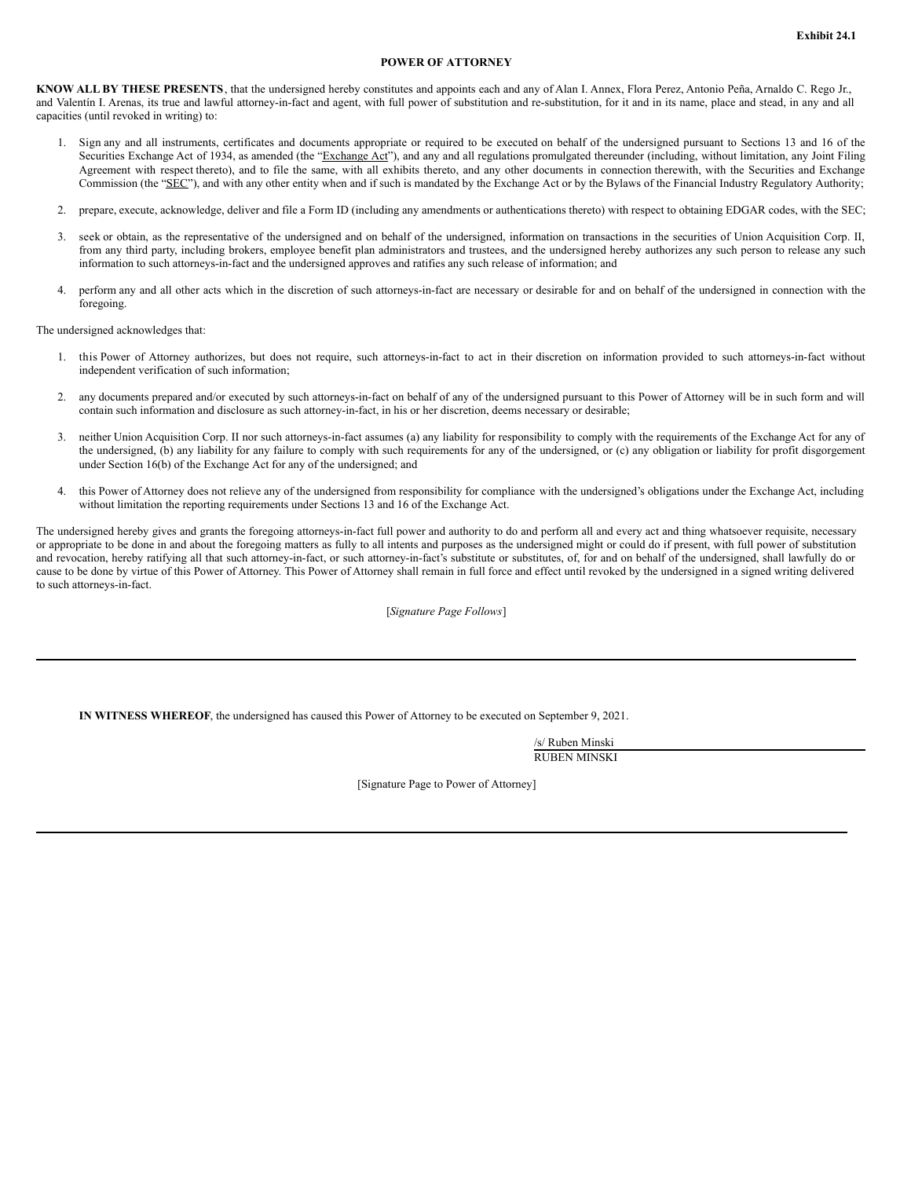### **POWER OF ATTORNEY**

**KNOW ALL BY THESE PRESENTS**, that the undersigned hereby constitutes and appoints each and any of Alan I. Annex, Flora Perez, Antonio Peña, Arnaldo C. Rego Jr., and Valentín I. Arenas, its true and lawful attorney-in-fact and agent, with full power of substitution and re-substitution, for it and in its name, place and stead, in any and all capacities (until revoked in writing) to:

- 1. Sign any and all instruments, certificates and documents appropriate or required to be executed on behalf of the undersigned pursuant to Sections 13 and 16 of the Securities Exchange Act of 1934, as amended (the "Exchange Act"), and any and all regulations promulgated thereunder (including, without limitation, any Joint Filing Agreement with respect thereto), and to file the same, with all exhibits thereto, and any other documents in connection therewith, with the Securities and Exchange Commission (the "SEC"), and with any other entity when and if such is mandated by the Exchange Act or by the Bylaws of the Financial Industry Regulatory Authority;
- 2. prepare, execute, acknowledge, deliver and file a Form ID (including any amendments or authentications thereto) with respect to obtaining EDGAR codes, with the SEC;
- 3. seek or obtain, as the representative of the undersigned and on behalf of the undersigned, information on transactions in the securities of Union Acquisition Corp. II, from any third party, including brokers, employee benefit plan administrators and trustees, and the undersigned hereby authorizes any such person to release any such information to such attorneys-in-fact and the undersigned approves and ratifies any such release of information; and
- 4. perform any and all other acts which in the discretion of such attorneys-in-fact are necessary or desirable for and on behalf of the undersigned in connection with the foregoing.

The undersigned acknowledges that:

- 1. this Power of Attorney authorizes, but does not require, such attorneys-in-fact to act in their discretion on information provided to such attorneys-in-fact without independent verification of such information;
- 2. any documents prepared and/or executed by such attorneys-in-fact on behalf of any of the undersigned pursuant to this Power of Attorney will be in such form and will contain such information and disclosure as such attorney-in-fact, in his or her discretion, deems necessary or desirable;
- 3. neither Union Acquisition Corp. II nor such attorneys-in-fact assumes (a) any liability for responsibility to comply with the requirements of the Exchange Act for any of the undersigned, (b) any liability for any failure to comply with such requirements for any of the undersigned, or (c) any obligation or liability for profit disgorgement under Section 16(b) of the Exchange Act for any of the undersigned; and
- 4. this Power of Attorney does not relieve any of the undersigned from responsibility for compliance with the undersigned's obligations under the Exchange Act, including without limitation the reporting requirements under Sections 13 and 16 of the Exchange Act.

The undersigned hereby gives and grants the foregoing attorneys-in-fact full power and authority to do and perform all and every act and thing whatsoever requisite, necessary or appropriate to be done in and about the foregoing matters as fully to all intents and purposes as the undersigned might or could do if present, with full power of substitution and revocation, hereby ratifying all that such attorney-in-fact, or such attorney-in-fact's substitute or substitutes, of, for and on behalf of the undersigned, shall lawfully do or cause to be done by virtue of this Power of Attorney. This Power of Attorney shall remain in full force and effect until revoked by the undersigned in a signed writing delivered to such attorneys-in-fact.

[*Signature Page Follows*]

**IN WITNESS WHEREOF**, the undersigned has caused this Power of Attorney to be executed on September 9, 2021.

/s/ Ruben Minski RUBEN MINSKI

[Signature Page to Power of Attorney]